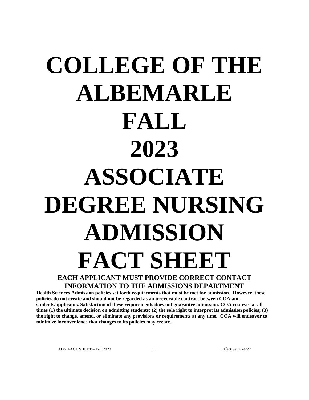# **COLLEGE OF THE ALBEMARLE FALL 2023 ASSOCIATE DEGREE NURSING ADMISSION FACT SHEET EACH APPLICANT MUST PROVIDE CORRECT CONTACT**

## **INFORMATION TO THE ADMISSIONS DEPARTMENT**

**Health Sciences Admission policies set forth requirements that must be met for admission. However, these policies do not create and should not be regarded as an irrevocable contract between COA and students/applicants. Satisfaction of these requirements does not guarantee admission. COA reserves at all times (1) the ultimate decision on admitting students; (2) the sole right to interpret its admission policies; (3) the right to change, amend, or eliminate any provisions or requirements at any time. COA will endeavor to minimize inconvenience that changes to its policies may create.**

ADN FACT SHEET – Fall 2023 1 Effective: 2/24/22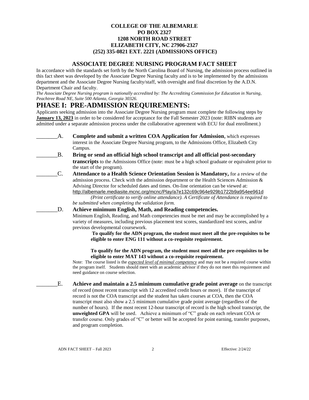## **COLLEGE OF THE ALBEMARLE PO BOX 2327 1208 NORTH ROAD STREET ELIZABETH CITY, NC 27906-2327 (252) 335-0821 EXT. 2221 (ADMISSIONS OFFICE)**

## **ASSOCIATE DEGREE NURSING PROGRAM FACT SHEET**

In accordance with the standards set forth by the North Carolina Board of Nursing, the admission process outlined in this fact sheet was developed by the Associate Degree Nursing faculty and is to be implemented by the admissions department and the Associate Degree Nursing faculty/staff, with oversight and final discretion by the A.D.N. Department Chair and faculty.

*The Associate Degree Nursing program is nationally accredited by: [The Accrediting Commission for Education in Nursing,](http://www.nlnac.org/) Peachtree Road NE, Suite 500 Atlanta, Georgia 30326.*

## **PHASE I: PRE-ADMISSION REQUIREMENTS:**

Applicants seeking admission into the Associate Degree Nursing program must complete the following steps by **January 13, 2023** in order to be considered for acceptance for the Fall Semester 2023 (note: RIBN students are admitted under a separate admission process under the collaborative agreement with ECU for dual enrollment.)

- \_\_\_\_\_\_\_A. **Complete and submit a written COA Application for Admission**, which expresses interest in the Associate Degree Nursing program, to the Admissions Office, Elizabeth City Campus.
	- \_\_\_\_\_\_\_B. **Bring or send an official high school transcript and all official post-secondary transcripts** to the Admissions Office (note: must be a high school graduate or equivalent prior to the start of the program).
- \_\_\_\_\_\_\_C. **Attendance to a Health Science Orientation Session is Mandatory,** for a review of the admission process. Check with the admission department or the Health Sciences Admission & Advising Director for scheduled dates and times. On-line orientation can be viewed at: <http://albemarle.mediasite.mcnc.org/mcnc/Play/a7e132c69c964e929b1722b9a954ee961d>

*(Print certificate to verify online attendance). A Certificate of Attendance is required to be submitted when completing the validation form.*

\_\_\_\_\_\_\_D. **Achieve minimum English, Math, and Reading competencies.** Minimum English, Reading, and Math competencies must be met and may be accomplished by a variety of measures, including previous placement test scores, standardized test scores, and/or previous developmental coursework.

**To qualify for the ADN program, the student must meet all the pre-requisites to be eligible to enter ENG 111 without a co-requisite requirement.**

**To qualify for the ADN program, the student must meet all the pre-requisites to be eligible to enter MAT 143 without a co-requisite requirement.**

Note: The course listed is the *expected level of minimal competency* and may not be a required course within the program itself. Students should meet with an academic advisor if they do not meet this requirement and need guidance on course selection.

\_\_\_\_\_\_\_E. **Achieve and maintain a 2.5 minimum cumulative grade point average** on the transcript of record (most recent transcript with 12 accredited credit hours or more). If the transcript of record is not the COA transcript and the student has taken courses at COA, then the COA transcript must also show a 2.5 minimum cumulative grade point average (regardless of the number of hours). If the most recent 12-hour transcript of record is the high school transcript, the **unweighted GPA** will be used. Achieve a minimum of "C" grade on each relevant COA or transfer course. Only grades of "C" or better will be accepted for point earning, transfer purposes, and program completion.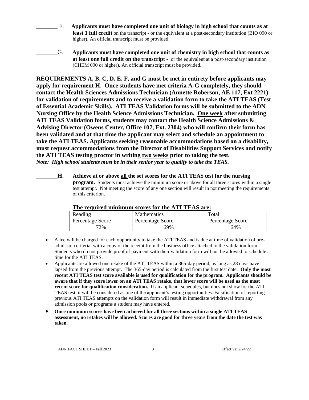- \_\_\_\_\_\_\_ F. **Applicants must have completed one unit of biology in high school that counts as at least 1 full credit** on the transcript - or the equivalent at a post-secondary institution (BIO 090 or higher). An official transcript must be provided.
- \_\_\_\_\_\_\_G. **Applicants must have completed one unit of chemistry in high school that counts as at least one full credit on the transcript -** or the equivalent at a post-secondary institution (CHEM 090 or higher). An official transcript must be provided.

**REQUIREMENTS A, B, C, D, E, F, and G must be met in entirety before applicants may apply for requirement H. Once students have met criteria A-G completely, they should contact the Health Sciences Admissions Technician (Annette Roberson, AE 117, Ext 2221) for validation of requirements and to receive a validation form to take the ATI TEAS (Test of Essential Academic Skills). ATI TEAS Validation forms will be submitted to the ADN Nursing Office by the Health Science Admissions Technician. One week after submitting ATI TEAS Validation forms, students may contact the Health Science Admissions & Advising Director (Owens Center, Office 107, Ext. 2304) who will confirm their form has been validated and at that time the applicant may select and schedule an appointment to take the ATI TEAS. Applicants seeking reasonable accommodations based on a disability, must request accommodations from the Director of Disabilities Support Services and notify the ATI TEAS testing proctor in writing two weeks prior to taking the test.**  *Note: High school students must be in their senior year to qualify to take the TEAS.*

**\_\_\_\_\_\_\_H. Achieve at or above all the set scores for the ATI TEAS test for the nursing program.** Students must achieve the minimum score or above for all three scores within a single test attempt. Not meeting the score of any one section will result in not meeting the requirements of this criterion.

| The required minimum scores for the first relies are: |                    |                  |  |  |  |
|-------------------------------------------------------|--------------------|------------------|--|--|--|
| Reading                                               | <b>Mathematics</b> | Total            |  |  |  |
| Percentage Score                                      | Percentage Score   | Percentage Score |  |  |  |
| 72%                                                   | 69%                | 64%              |  |  |  |

## **The required minimum scores for the ATI TEAS are:**

- A fee will be charged for each opportunity to take the ATI TEAS and is due at time of validation of preadmission criteria, with a copy of the receipt from the business office attached to the validation form. Students who do not provide proof of payment with their validation form will not be allowed to schedule a time for the ATI TEAS.
- Applicants are allowed one retake of the ATI TEAS within a 365-day period, as long as 28 days have lapsed from the previous attempt. The 365-day period is calculated from the first test date. **Only the most recent ATI TEAS test score available is used for qualification for the program. Applicants should be aware that if they score lower on an ATI TEAS retake, that lower score will be used as the most recent score for qualification consideration.** If an applicant schedules, but does not show for the ATI TEAS test, it will be considered as one of the applicant's testing opportunities. Falsification of reporting previous ATI TEAS attempts on the validation form will result in immediate withdrawal from any admission pools or programs a student may have entered.
- **Once minimum scores have been achieved for all three sections within a single ATI TEAS assessment, no retakes will be allowed. Scores are good for three years from the date the test was taken.**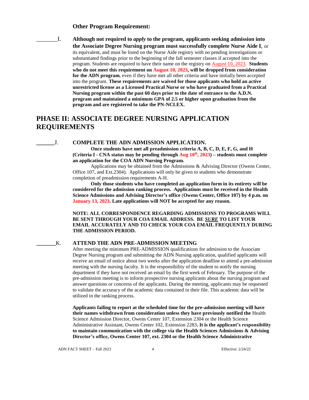#### **Other Program Requirement:**

\_\_\_\_\_\_\_I. **Although not required to** *apply* **to the program, applicants seeking admission into the Associate Degree Nursing program must successfully complete Nurse Aide I**, or its equivalent, and must be listed on the Nurse Aide registry with no pending investigations or substantiated findings prior to the beginning of the fall semester classes if accepted into the program. Students are required to have their name on the registry on August 10, 2023. **Students who do not meet this requirement on August 10, 2023, will be dropped from consideration for the ADN program**, even if they have met all other criteria and have initially been accepted into the program. **These requirements are waived for those applicants who hold an active unrestricted license as a Licensed Practical Nurse or who have graduated from a Practical Nursing program within the past 60 days prior to the date of entrance to the A.D.N. program and maintained a minimum GPA of 2.5 or higher upon graduation from the program and are registered to take the PN-NCLEX.**

## **PHASE II: ASSOCIATE DEGREE NURSING APPLICATION REQUIREMENTS**

## **\_\_\_\_\_\_**J. **COMPLETE THE ADN ADMISSION APPLICATION.**

**Once students have met all preadmission criteria A, B, C, D, E, F, G, and H (Criteria I - CNA status may be pending through Aug 10th, 2023) – students must complete an application for the COA ADN Nursing Program.** 

Applications may be obtained from the Admissions & Advising Director (Owens Center, Office 107, and Ext.2304). Applications will only be given to students who demonstrate completion of preadmission requirements A-H.

**Only those students who have completed an application form in its entirety will be considered for the admission ranking process. Applications must be received in the Health Science Admissions and Advising Director's office** (**Owens Center, Office 107) by 4 p.m. on January 13, 2023. Late applications will NOT be accepted for any reason.**

**NOTE: ALL CORRESPONDENCE REGARDING ADMISSIONS TO PROGRAMS WILL BE SENT THROUGH YOUR COA EMAIL ADDRESS. BE** *SURE* **TO LIST YOUR EMAIL ACCURATELY AND TO CHECK YOUR COA EMAIL FREQUENTLY DURING THE ADMISSION PERIOD.**

#### **\_\_\_\_\_\_\_**K. **ATTEND THE ADN PRE-ADMISSION MEETING**

After meeting the minimum PRE-ADMISSION qualifications for admission to the Associate Degree Nursing program and submitting the ADN Nursing application, qualified applicants will receive an email of notice about two weeks after the application deadline to attend a pre-admission meeting with the nursing faculty. It is the responsibility of the student to notify the nursing department if they have not received an email by the first week of February. The purpose of the pre-admission meeting is to inform prospective nursing applicants about the nursing program and answer questions or concerns of the applicants. During the meeting, applicants may be requested to validate the accuracy of the academic data contained in their file. This academic data will be utilized in the ranking process.

**Applicants failing to report at the scheduled time for the pre-admission meeting will have their names withdrawn from consideration unless they have previously notified the** Health Science Admission Director, Owens Center 107, Extension 2304 or the Health Science Administrative Assistant, Owens Center 102, Extension 2283**. It is the applicant's responsibility to maintain communication with the college via the Health Sciences Admissions & Advising Director's office, Owens Center 107, ext. 2304 or the Health Science Administrative**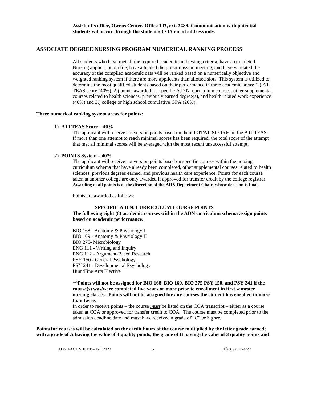#### **ASSOCIATE DEGREE NURSING PROGRAM NUMERICAL RANKING PROCESS**

All students who have met all the required academic and testing criteria, have a completed Nursing application on file, have attended the pre-admission meeting, and have validated the accuracy of the compiled academic data will be ranked based on a numerically objective and weighted ranking system if there are more applicants than allotted slots. This system is utilized to determine the most qualified students based on their performance in three academic areas: 1.) ATI TEAS score (40%), 2.) points awarded for specific A.D.N. curriculum courses, other supplemental courses related to health sciences, previously earned degree(s), and health related work experience (40%) and 3.) college or high school cumulative GPA (20%).

#### **Three numerical ranking system areas for points:**

#### **1) ATI TEAS Score – 40%**

The applicant will receive conversion points based on their **TOTAL SCORE** on the ATI TEAS. If more than one attempt to reach minimal scores has been required, the total score of the attempt that met all minimal scores will be averaged with the most recent unsuccessful attempt.

#### **2) POINTS System – 40%**

The applicant will receive conversion points based on specific courses within the nursing curriculum schema that have already been completed, other supplemental courses related to health sciences, previous degrees earned, and previous health care experience. Points for each course taken at another college are only awarded if approved for transfer credit by the college registrar. **Awarding of all points is at the discretion of the ADN Department Chair, whose decision is final.**

Points are awarded as follows:

#### **SPECIFIC A.D.N. CURRICULUM COURSE POINTS**

#### **The following eight (8) academic courses within the ADN curriculum schema assign points based on academic performance.**

BIO 168 - Anatomy & Physiology I BIO 169 - Anatomy & Physiology II BIO 275- Microbiology ENG 111 - Writing and Inquiry ENG 112 - Argument-Based Research PSY 150 - General Psychology PSY 241 - Developmental Psychology Hum/Fine Arts Elective

\*\***Points will not be assigned for BIO 168, BIO 169, BIO 275 PSY 150, and PSY 241 if the course(s) was/were completed five years or more prior to enrollment in first semester nursing classes. Points will not be assigned for any courses the student has enrolled in more than twice.** 

In order to receive points – the course *must* be listed on the COA transcript – either as a course taken at COA or approved for transfer credit to COA. The course must be completed prior to the admission deadline date and must have received a grade of "C" or higher.

**Points for courses will be calculated on the credit hours of the course multiplied by the letter grade earned; with a grade of A having the value of 4 quality points, the grade of B having the value of 3 quality points and**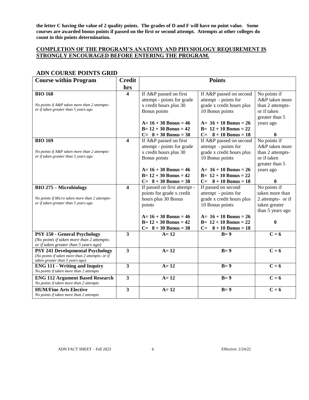**the letter C having the value of 2 quality points. The grades of D and F will have no point value. Some courses are awarded bonus points if passed on the first or second attempt. Attempts at other colleges do count in this points determination.**

## **COMPLETION OF THE PROGRAM'S ANATOMY AND PHYSIOLOGY REQUIREMENT IS STRONGLY ENCOURAGED BEFORE ENTERING THE PROGRAM.**

## **ADN COURSE POINTS GRID**

| <b>Course within Program</b>                                                           | <b>Credit</b>           | <b>Points</b>                |                           |                   |
|----------------------------------------------------------------------------------------|-------------------------|------------------------------|---------------------------|-------------------|
|                                                                                        | hrs                     |                              |                           |                   |
| <b>BIO 168</b>                                                                         | 4                       | If A&P passed on first       | If A&P passed on second   | No points if      |
|                                                                                        |                         | attempt - points for grade   | attempt - points for      | A&P taken more    |
| No points if A&P taken more than 2 attempts-                                           |                         | x credit hours plus 30       | grade x credit hours plus | than 2 attempts-  |
| or if taken greater than 5 years ago                                                   |                         | Bonus points                 | 10 Bonus points           | or if taken       |
|                                                                                        |                         |                              |                           | greater than 5    |
|                                                                                        |                         | $A = 16 + 30$ Bonus = 46     | $A = 16 + 10$ Bonus = 26  | years ago         |
|                                                                                        |                         | $B=12 + 30$ Bonus = 42       | $B = 12 + 10$ Bonus = 22  |                   |
|                                                                                        |                         | $C = 8 + 30$ Bonus = 38      | $C = 8 + 10$ Bonus = 18   | 0                 |
| <b>BIO 169</b>                                                                         | $\overline{\mathbf{4}}$ | If A&P passed on first       | If A&P passed on second   | No points if      |
|                                                                                        |                         | attempt - points for grade   | attempt - points for      | A&P taken more    |
| No points if A&P taken more than 2 attempts-                                           |                         | x credit hours plus 30       | grade x credit hours plus | than 2 attempts-  |
| or if taken greater than 5 years ago                                                   |                         | Bonus points                 | 10 Bonus points           | or if taken       |
|                                                                                        |                         |                              |                           | greater than 5    |
|                                                                                        |                         | $A=16+30$ Bonus = 46         | $A = 16 + 10$ Bonus = 26  | years ago         |
|                                                                                        |                         | $B = 12 + 30$ Bonus = 42     | $B = 12 + 10$ Bonus = 22  |                   |
|                                                                                        |                         | $C = 8 + 30$ Bonus = 38      | $C = 8 + 10$ Bonus = 18   | 0                 |
| <b>BIO 275 - Microbiology</b>                                                          | $\overline{\mathbf{4}}$ | If passed on first attempt - | If passed on second       | No points if      |
|                                                                                        |                         | points for grade x credit    | attempt - points for      | taken more than   |
| No points if Micro taken more than 2 attempts-<br>or if taken greater than 5 years ago |                         | hours plus 30 Bonus          | grade x credit hours plus | 2 attempts- or if |
|                                                                                        |                         | points                       | 10 Bonus points           | taken greater     |
|                                                                                        |                         |                              |                           | than 5 years ago  |
|                                                                                        |                         | $A=16+30$ Bonus = 46         | $A = 16 + 10$ Bonus = 26  |                   |
|                                                                                        |                         | $B = 12 + 30$ Bonus = 42     | $B = 12 + 10$ Bonus = 22  | $\bf{0}$          |
|                                                                                        |                         | $C = 8 + 30$ Bonus = 38      | $C = 8 + 10$ Bonus = 18   |                   |
| PSY 150 - General Psychology                                                           | $\overline{\mathbf{3}}$ | $A=12$                       | $B=9$                     | $C = 6$           |
| (No points if taken more than 2 attempts-                                              |                         |                              |                           |                   |
| or if taken greater than 5 years ago)<br><b>PSY 241 Developmental Psychology</b>       | $\overline{\mathbf{3}}$ | $A=12$                       | $B=9$                     | $C = 6$           |
| (No points if taken more than 2 attempts- or if                                        |                         |                              |                           |                   |
| taken greater than 5 years ago)                                                        |                         |                              |                           |                   |
| <b>ENG 111 - Writing and Inquiry</b>                                                   | 3                       | $A=12$                       | $B=9$                     | $C = 6$           |
| No points if taken more than 2 attempts                                                |                         |                              |                           |                   |
| <b>ENG 112 Argument Based Research</b>                                                 | 3                       | $A=12$                       | $B=9$                     | $C = 6$           |
| No points if taken more than 2 attempts                                                |                         |                              |                           |                   |
| <b>HUM/Fine Arts Elective</b>                                                          | 3                       | $A=12$                       | $B=9$                     | $C = 6$           |
| No points if taken more than 2 attempts                                                |                         |                              |                           |                   |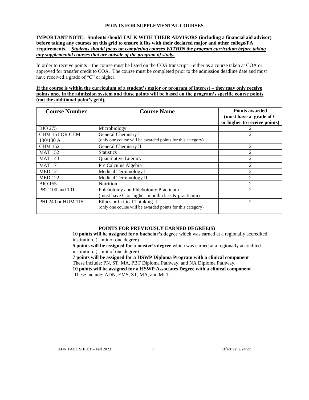#### **POINTS FOR SUPPLEMENTAL COURSES**

#### **IMPORTANT NOTE: Students should TALK WITH THEIR ADVISORS (including a financial aid advisor) before taking any courses on this grid to ensure it fits with their declared major and other college/FA requirements.** *Students should focus on completing courses WITHIN the program curriculum before taking any supplemental courses that are outside of the program of study.*

In order to receive points – the course must be listed on the COA transcript – either as a course taken at COA or approved for transfer credit to COA. The course must be completed prior to the admission deadline date and must have received a grade of "C" or higher.

#### **If the course is within the curriculum of a student's major or program of interest – they may only receive points once in the admission system and those points will be based on the program's specific course points (not the additional point's grid).**

| <b>Course Number</b> | <b>Course Name</b>                                         | <b>Points awarded</b><br>(must have a grade of C<br>or higher to receive points) |
|----------------------|------------------------------------------------------------|----------------------------------------------------------------------------------|
| <b>BIO 275</b>       | Microbiology                                               |                                                                                  |
| CHM 151 OR CHM       | General Chemistry I                                        |                                                                                  |
| $130/130$ A          | (only one course will be awarded points for this category) |                                                                                  |
| <b>CHM 152</b>       | General Chemistry II                                       | 2                                                                                |
| <b>MAT 152</b>       | <b>Statistics</b>                                          | 2                                                                                |
| <b>MAT 143</b>       | Quantitative Literacy                                      | $\mathcal{D}_{\mathcal{L}}$                                                      |
| <b>MAT 171</b>       | Pre Calculus Algebra                                       |                                                                                  |
| <b>MED 121</b>       | Medical Terminology I                                      |                                                                                  |
| <b>MED 122</b>       | Medical Terminology II                                     | $\mathfrak{D}$                                                                   |
| <b>BIO 155</b>       | <b>Nutrition</b>                                           | $\mathfrak{D}$                                                                   |
| PBT 100 and 101      | Phlebotomy and Phlebotomy Practicum                        | $\mathfrak{D}$                                                                   |
|                      | (must have C or higher in both class & practicum)          |                                                                                  |
| PHI 240 or HUM 115   | Ethics or Critical Thinking I                              | $\mathfrak{D}$                                                                   |
|                      | (only one course will be awarded points for this category) |                                                                                  |

## **POINTS FOR PREVIOUSLY EARNED DEGREE(S)**

**10 points will be assigned for a bachelor's degree** which was earned at a regionally accredited institution. (Limit of one degree)

**5 points will be assigned for a master's degree** which was earned at a regionally accredited institution. (Limit of one degree)

**7 points will be assigned for a HSWP Diploma Program with a clinical component** These include: PN, ST, MA, PBT Diploma Pathway, and NA Diploma Pathway, **10 points will be assigned for a HSWP Associates Degree with a clinical component** These include: ADN, EMS, ST, MA, and MLT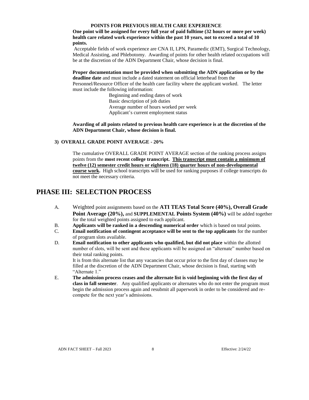#### **POINTS FOR PREVIOUS HEALTH CARE EXPERIENCE**

**One point will be assigned for every full year of paid fulltime (32 hours or more per week) health care related work experience within the past 10 years, not to exceed a total of 10 points.**

Acceptable fields of work experience are CNA II, LPN, Paramedic (EMT), Surgical Technology, Medical Assisting, and Phlebotomy. Awarding of points for other health related occupations will be at the discretion of the ADN Department Chair, whose decision is final.

**Proper documentation must be provided when submitting the ADN application or by the deadline date** and must include a dated statement on official letterhead from the Personnel/Resource Officer of the health care facility where the applicant worked. The letter must include the following information:

Beginning and ending dates of work Basic description of job duties Average number of hours worked per week Applicant's current employment status

**Awarding of all points related to previous health care experience is at the discretion of the ADN Department Chair, whose decision is final.**

### **3) OVERALL GRADE POINT AVERAGE - 20%**

The cumulative OVERALL GRADE POINT AVERAGE section of the ranking process assigns points from the **most recent college transcript. This transcript must contain a minimum of twelve (12) semester credit hours or eighteen (18) quarter hours of non-developmental course work.** High school transcripts will be used for ranking purposes if college transcripts do not meet the necessary criteria.

## **PHASE III: SELECTION PROCESS**

- A. Weighted point assignments based on the **ATI TEAS Total Score (40%), Overall Grade Point Average (20%),** and **SUPPLEMENTAL Points System (40%)** will be added together for the total weighted points assigned to each applicant.
- B. **Applicants will be ranked in a descending numerical order** which is based on total points.
- C. **Email notification of contingent acceptance will be sent to the top applicants** for the number of program slots available.
- D. **Email notification to other applicants who qualified, but did not place** within the allotted number of slots, will be sent and these applicants will be assigned an "alternate" number based on their total ranking points. It is from this alternate list that any vacancies that occur prior to the first day of classes may be

filled at the discretion of the ADN Department Chair, whose decision is final, starting with "Alternate 1."

E. **The admission process ceases and the alternate list is void beginning with the first day of class in fall semester**. Any qualified applicants or alternates who do not enter the program must begin the admission process again and resubmit all paperwork in order to be considered and recompete for the next year's admissions.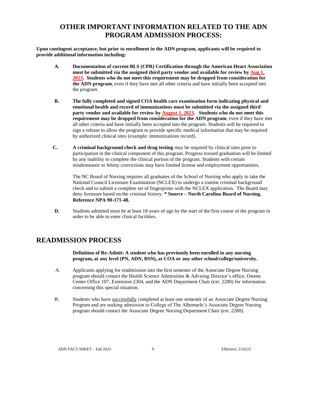## **OTHER IMPORTANT INFORMATION RELATED TO THE ADN PROGRAM ADMISSION PROCESS:**

**Upon contingent acceptance, but prior to enrollment in the ADN program, applicants will be required to provide additional information including:**

- **A. Documentation of current BLS (CPR) Certification through the American Heart Association must be submitted via the assigned third party vendor and available for review by Aug 1, 2023. Students who do not meet this requirement may be dropped from consideration for the ADN program**, even if they have met all other criteria and have initially been accepted into the program.
- **B. The fully completed and signed COA health care examination form indicating physical and emotional health and record of immunizations must be submitted via the assigned third party vendor and available for review by August 1, 2023. Students who do not meet this requirement may be dropped from consideration for the ADN program**, even if they have met all other criteria and have initially been accepted into the program. Students will be required to sign a release to allow the program to provide specific medical information that may be required by authorized clinical sites (example: immunizations record).
- **C. A criminal background check and drug testing** may be required by clinical sites prior to participation in the clinical component of this program. Progress toward graduation will be limited by any inability to complete the clinical portion of the program. Students with certain misdemeanor or felony convictions may have limited license and employment opportunities.

The NC Board of Nursing requires all graduates of the School of Nursing who apply to take the National Council Licensure Examination (NCLEX) to undergo a routine criminal background check and to submit a complete set of fingerprints with the NCLEX application. The Board may deny licensure based on the criminal history. **\* Source – North Carolina Board of Nursing. Reference NPA 90-171-48.**

**D.** Students admitted must be at least 18 years of age by the start of the first course of the program in order to be able to enter clinical facilities.

## **READMISSION PROCESS**

**Definition of Re-Admit: A student who has previously been enrolled in any nursing program, at any level (PN, ADN, BSN), at COA or any other school/college/university.**

- A. Applicants applying for readmission into the first semester of the Associate Degree Nursing program should contact the Health Science Admissions & Advising Director's office, Owens Center Office 107, Extension 2304, and the ADN Department Chair (ext. 2280) for information concerning this special situation.
- B. Students who have successfully completed at least one semester of an Associate Degree Nursing Program and are seeking admission to College of The Albemarle's Associate Degree Nursing program should contact the Associate Degree Nursing Department Chair (ext. 2280)*.*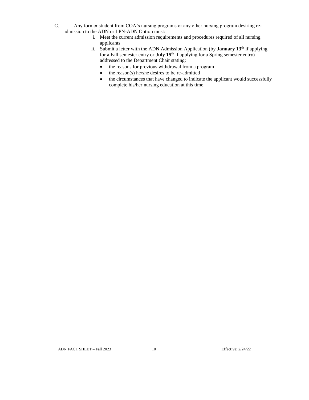- C. Any former student from COA's nursing programs or any other nursing program desiring readmission to the ADN or LPN-ADN Option must:
	- i. Meet the current admission requirements and procedures required of all nursing applicants
	- ii. Submit a letter with the ADN Admission Application (by **January 13<sup>th</sup>** if applying for a Fall semester entry or **July 15<sup>th</sup>** if applying for a Spring semester entry) addressed to the Department Chair stating:
		- the reasons for previous withdrawal from a program
		- $\bullet$  the reason(s) he/she desires to be re-admitted
		- the circumstances that have changed to indicate the applicant would successfully complete his/her nursing education at this time.